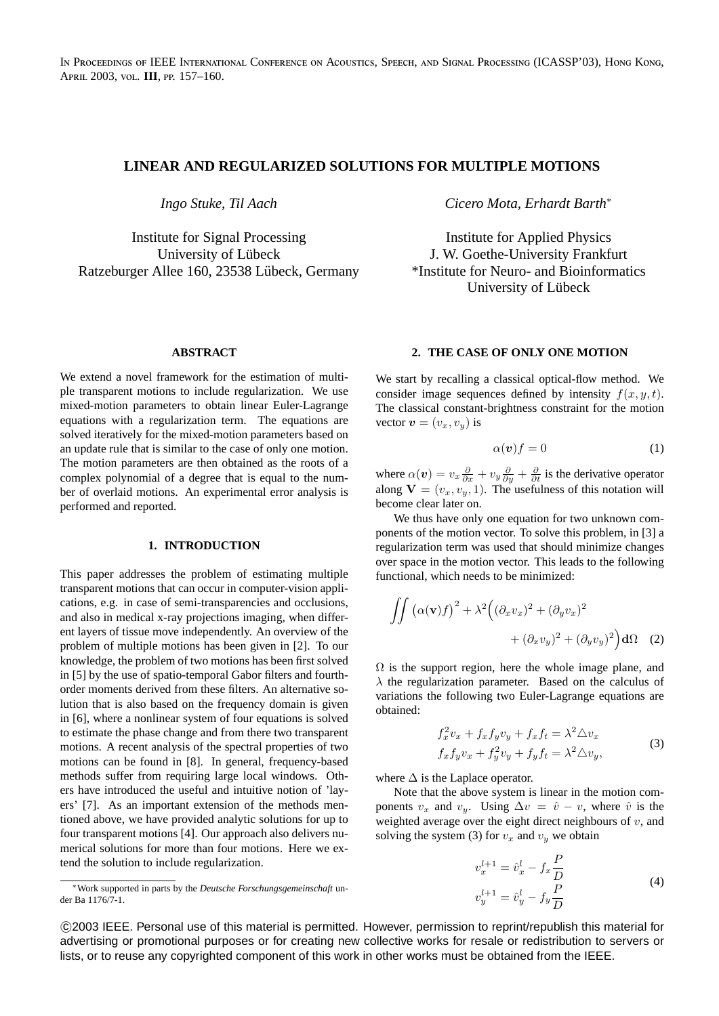# **LINEAR AND REGULARIZED SOLUTIONS FOR MULTIPLE MOTIONS**

*Ingo Stuke, Til Aach*

Institute for Signal Processing University of Lübeck Ratzeburger Allee 160, 23538 Lübeck, Germany

## **ABSTRACT**

We extend a novel framework for the estimation of multiple transparent motions to include regularization. We use mixed-motion parameters to obtain linear Euler-Lagrange equations with a regularization term. The equations are solved iteratively for the mixed-motion parameters based on an update rule that is similar to the case of only one motion. The motion parameters are then obtained as the roots of a complex polynomial of a degree that is equal to the number of overlaid motions. An experimental error analysis is performed and reported.

#### **1. INTRODUCTION**

This paper addresses the problem of estimating multiple transparent motions that can occur in computer-vision applications, e.g. in case of semi-transparencies and occlusions, and also in medical x-ray projections imaging, when different layers of tissue move independently. An overview of the problem of multiple motions has been given in [2]. To our knowledge, the problem of two motions has been first solved in [5] by the use of spatio-temporal Gabor filters and fourthorder moments derived from these filters. An alternative solution that is also based on the frequency domain is given in [6], where a nonlinear system of four equations is solved to estimate the phase change and from there two transparent motions. A recent analysis of the spectral properties of two motions can be found in [8]. In general, frequency-based methods suffer from requiring large local windows. Others have introduced the useful and intuitive notion of 'layers' [7]. As an important extension of the methods mentioned above, we have provided analytic solutions for up to four transparent motions [4]. Our approach also delivers numerical solutions for more than four motions. Here we extend the solution to include regularization.

*Cicero Mota, Erhardt Barth*<sup>∗</sup>

Institute for Applied Physics J. W. Goethe-University Frankfurt \*Institute for Neuro- and Bioinformatics University of Lübeck

## **2. THE CASE OF ONLY ONE MOTION**

We start by recalling a classical optical-flow method. We consider image sequences defined by intensity  $f(x, y, t)$ . The classical constant-brightness constraint for the motion vector  $\mathbf{v} = (v_x, v_y)$  is

$$
\alpha(v)f = 0 \tag{1}
$$

where  $\alpha(v) = v_x \frac{\partial}{\partial x} + v_y \frac{\partial}{\partial y} + \frac{\partial}{\partial t}$  is the derivative operator along  $V = (v_x, v_y, 1)$ . The usefulness of this notation will become clear later on.

We thus have only one equation for two unknown components of the motion vector. To solve this problem, in [3] a regularization term was used that should minimize changes over space in the motion vector. This leads to the following functional, which needs to be minimized:

$$
\iint \left( \alpha(\mathbf{v})f \right)^2 + \lambda^2 \left( (\partial_x v_x)^2 + (\partial_y v_x)^2 + (\partial_y v_y)^2 \right) d\Omega \quad (2)
$$

 $\Omega$  is the support region, here the whole image plane, and  $\lambda$  the regularization parameter. Based on the calculus of variations the following two Euler-Lagrange equations are obtained:

$$
f_x^2 v_x + f_x f_y v_y + f_x f_t = \lambda^2 \Delta v_x
$$
  
\n
$$
f_x f_y v_x + f_y^2 v_y + f_y f_t = \lambda^2 \Delta v_y,
$$
\n(3)

where  $\Delta$  is the Laplace operator.

Note that the above system is linear in the motion components  $v_x$  and  $v_y$ . Using  $\Delta v = \hat{v} - v$ , where  $\hat{v}$  is the weighted average over the eight direct neighbours of  $v$ , and solving the system (3) for  $v_x$  and  $v_y$  we obtain

$$
v_x^{l+1} = \hat{v}_x^l - f_x \frac{P}{D}
$$
  
\n
$$
v_y^{l+1} = \hat{v}_y^l - f_y \frac{P}{D}
$$
\n(4)

 c 2003 IEEE. Personal use of this material is permitted. However, permission to reprint/republish this material for advertising or promotional purposes or for creating new collective works for resale or redistribution to servers or lists, or to reuse any copyrighted component of this work in other works must be obtained from the IEEE.

<sup>∗</sup>Work supported in parts by the *Deutsche Forschungsgemeinschaft* under Ba 1176/7-1.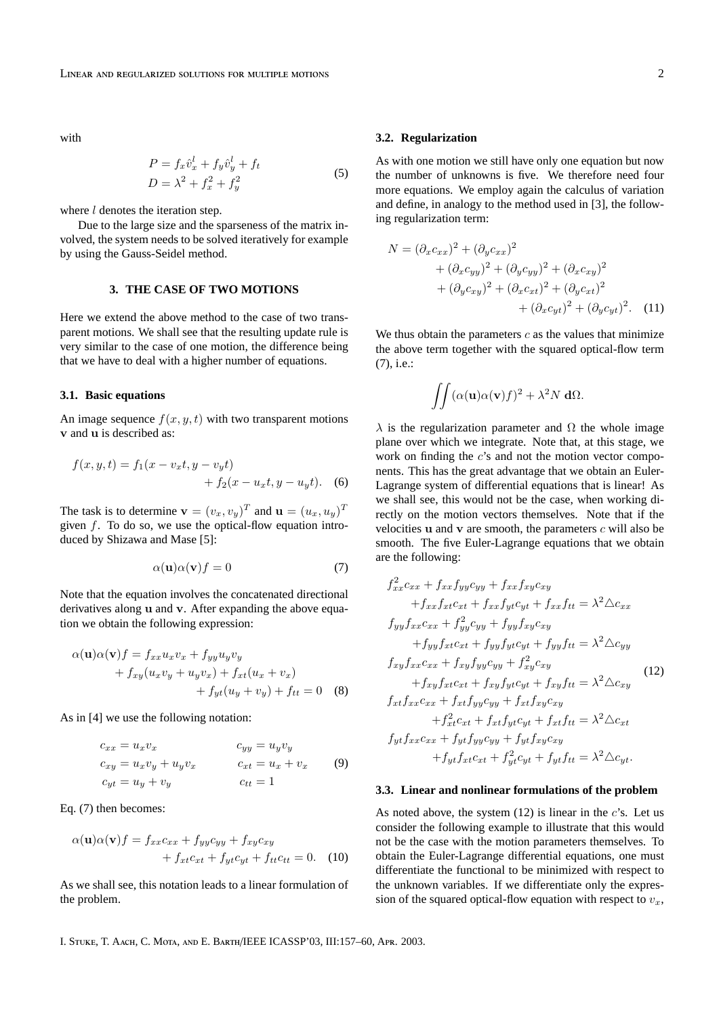with

$$
P = f_x \hat{v}_x^l + f_y \hat{v}_y^l + f_t
$$
  
\n
$$
D = \lambda^2 + f_x^2 + f_y^2
$$
\n(5)

where  $l$  denotes the iteration step.

Due to the large size and the sparseness of the matrix involved, the system needs to be solved iteratively for example by using the Gauss-Seidel method.

### **3. THE CASE OF TWO MOTIONS**

Here we extend the above method to the case of two transparent motions. We shall see that the resulting update rule is very similar to the case of one motion, the difference being that we have to deal with a higher number of equations.

### **3.1. Basic equations**

An image sequence  $f(x, y, t)$  with two transparent motions v and u is described as:

$$
f(x, y, t) = f_1(x - v_x t, y - v_y t) + f_2(x - u_x t, y - u_y t).
$$
 (6)

The task is to determine  $\mathbf{v} = (v_x, v_y)^T$  and  $\mathbf{u} = (u_x, u_y)^T$ given  $f$ . To do so, we use the optical-flow equation introduced by Shizawa and Mase [5]:

$$
\alpha(\mathbf{u})\alpha(\mathbf{v})f = 0\tag{7}
$$

Note that the equation involves the concatenated directional derivatives along u and v. After expanding the above equation we obtain the following expression:

$$
\alpha(\mathbf{u})\alpha(\mathbf{v})f = f_{xx}u_xv_x + f_{yy}u_yv_y + f_{xy}(u_xv_y + u_yv_x) + f_{xt}(u_x + v_x) + f_{yt}(u_y + v_y) + f_{tt} = 0
$$
 (8)

As in [4] we use the following notation:

$$
c_{xx} = u_x v_x
$$
  
\n
$$
c_{xy} = u_x v_y + u_y v_x
$$
  
\n
$$
c_{yt} = u_y + v_y
$$
  
\n
$$
c_{tt} = 1
$$
  
\n
$$
c_{tt} = 1
$$
  
\n(9)

Eq. (7) then becomes:

$$
\alpha(\mathbf{u})\alpha(\mathbf{v})f = f_{xx}c_{xx} + f_{yy}c_{yy} + f_{xy}c_{xy}
$$

$$
+ f_{xt}c_{xt} + f_{yt}c_{yt} + f_{tt}c_{tt} = 0. \quad (10)
$$

As we shall see, this notation leads to a linear formulation of the problem.

#### **3.2. Regularization**

As with one motion we still have only one equation but now the number of unknowns is five. We therefore need four more equations. We employ again the calculus of variation and define, in analogy to the method used in [3], the following regularization term:

$$
N = (\partial_x c_{xx})^2 + (\partial_y c_{xx})^2 + (\partial_x c_{yy})^2 + (\partial_y c_{yy})^2 + (\partial_x c_{xy})^2 + (\partial_y c_{xy})^2 + (\partial_x c_{xt})^2 + (\partial_y c_{xt})^2 + (\partial_x c_{yt})^2 + (\partial_y c_{yt})^2.
$$
 (11)

We thus obtain the parameters  $c$  as the values that minimize the above term together with the squared optical-flow term (7), i.e.:

$$
\iint (\alpha(\mathbf{u})\alpha(\mathbf{v})f)^2 + \lambda^2 N \, d\Omega.
$$

 $\lambda$  is the regularization parameter and  $\Omega$  the whole image plane over which we integrate. Note that, at this stage, we work on finding the  $c$ 's and not the motion vector components. This has the great advantage that we obtain an Euler-Lagrange system of differential equations that is linear! As we shall see, this would not be the case, when working directly on the motion vectors themselves. Note that if the velocities  $u$  and  $v$  are smooth, the parameters  $c$  will also be smooth. The five Euler-Lagrange equations that we obtain are the following:

$$
f_{xx}^2c_{xx} + f_{xx}f_{yy}c_{yy} + f_{xx}f_{xy}c_{xy}
$$
  
+
$$
f_{xx}f_{xt}c_{xt} + f_{xx}f_{yt}c_{yt} + f_{xx}f_{tt} = \lambda^2 \triangle c_{xx}
$$
  

$$
f_{yy}f_{xx}c_{xx} + f_{yy}^2c_{yy} + f_{yy}f_{xy}c_{xy}
$$
  
+
$$
f_{yy}f_{xt}c_{xt} + f_{yy}f_{yt}c_{yt} + f_{yy}f_{tt} = \lambda^2 \triangle c_{yy}
$$
  

$$
f_{xy}f_{xx}c_{xx} + f_{xy}f_{yy}c_{yy} + f_{xy}^2c_{xy}
$$
  

$$
f_{xt}f_{xx}c_{xx} + f_{xt}f_{yy}c_{yy} + f_{xt}f_{xy}c_{xy}
$$
  
+
$$
f_{xt}^2c_{xt} + f_{xt}f_{yt}c_{yt} + f_{xt}f_{tt} = \lambda^2 \triangle c_{xt}
$$
  

$$
f_{yt}f_{xx}c_{xx} + f_{yt}f_{yy}c_{yy} + f_{yt}f_{xy}c_{xy}
$$
  
+
$$
f_{yt}f_{xt}c_{xt} + f_{yt}^2c_{yt} + f_{yt}f_{tt} = \lambda^2 \triangle c_{yt}.
$$

### **3.3. Linear and nonlinear formulations of the problem**

As noted above, the system  $(12)$  is linear in the c's. Let us consider the following example to illustrate that this would not be the case with the motion parameters themselves. To obtain the Euler-Lagrange differential equations, one must differentiate the functional to be minimized with respect to the unknown variables. If we differentiate only the expression of the squared optical-flow equation with respect to  $v<sub>x</sub>$ ,

I. STUKE, T. AACH, C. MOTA, AND E. BARTH/IEEE ICASSP'03, III:157-60, APR. 2003.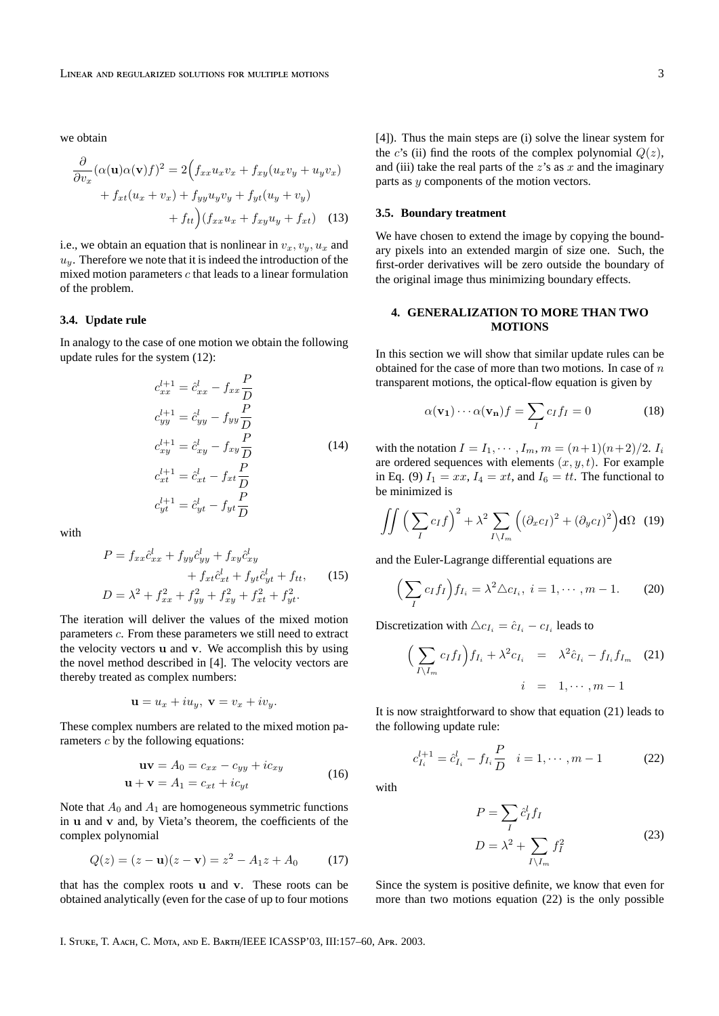we obtain

$$
\frac{\partial}{\partial v_x} (\alpha(\mathbf{u})\alpha(\mathbf{v})f)^2 = 2\Big(f_{xx}u_xv_x + f_{xy}(u_xv_y + u_yv_x) + f_{xt}(u_x + v_x) + f_{yy}u_yv_y + f_{yt}(u_y + v_y) + f_{tt}\Big)(f_{xx}u_x + f_{xy}u_y + f_{xt}) \quad (13)
$$

i.e., we obtain an equation that is nonlinear in  $v_x, v_y, u_x$  and  $u_y$ . Therefore we note that it is indeed the introduction of the mixed motion parameters  $c$  that leads to a linear formulation of the problem.

#### **3.4. Update rule**

In analogy to the case of one motion we obtain the following update rules for the system (12):

$$
c_{xx}^{l+1} = \hat{c}_{xx}^l - f_{xx}\frac{P}{D}
$$
  
\n
$$
c_{yy}^{l+1} = \hat{c}_{yy}^l - f_{yy}\frac{P}{D}
$$
  
\n
$$
c_{xy}^{l+1} = \hat{c}_{xy}^l - f_{xy}\frac{P}{D}
$$
  
\n
$$
c_{xt}^{l+1} = \hat{c}_{xt}^l - f_{xt}\frac{P}{D}
$$
  
\n
$$
c_{yt}^{l+1} = \hat{c}_{yt}^l - f_{yt}\frac{P}{D}
$$
 (14)

with

$$
P = f_{xx}\hat{c}_{xx}^{l} + f_{yy}\hat{c}_{yy}^{l} + f_{xy}\hat{c}_{xy}^{l} + f_{xt}\hat{c}_{xt}^{l} + f_{yt}\hat{c}_{yt}^{l} + f_{tt},
$$
 (15)  

$$
D = \lambda^{2} + f_{xx}^{2} + f_{yy}^{2} + f_{xy}^{2} + f_{xt}^{2} + f_{yt}^{2}.
$$

The iteration will deliver the values of the mixed motion parameters c. From these parameters we still need to extract the velocity vectors u and v. We accomplish this by using the novel method described in [4]. The velocity vectors are thereby treated as complex numbers:

$$
\mathbf{u} = u_x + i u_y, \ \mathbf{v} = v_x + i v_y.
$$

These complex numbers are related to the mixed motion parameters c by the following equations:

$$
\mathbf{uv} = A_0 = c_{xx} - c_{yy} + ic_{xy}
$$
  

$$
\mathbf{u} + \mathbf{v} = A_1 = c_{xt} + ic_{yt}
$$
 (16)

Note that  $A_0$  and  $A_1$  are homogeneous symmetric functions in u and v and, by Vieta's theorem, the coefficients of the complex polynomial

$$
Q(z) = (z - \mathbf{u})(z - \mathbf{v}) = z^2 - A_1 z + A_0 \tag{17}
$$

that has the complex roots u and v. These roots can be obtained analytically (even for the case of up to four motions [4]). Thus the main steps are (i) solve the linear system for the c's (ii) find the roots of the complex polynomial  $Q(z)$ , and (iii) take the real parts of the  $z$ 's as  $x$  and the imaginary parts as y components of the motion vectors.

#### **3.5. Boundary treatment**

We have chosen to extend the image by copying the boundary pixels into an extended margin of size one. Such, the first-order derivatives will be zero outside the boundary of the original image thus minimizing boundary effects.

# **4. GENERALIZATION TO MORE THAN TWO MOTIONS**

In this section we will show that similar update rules can be obtained for the case of more than two motions. In case of  $n$ transparent motions, the optical-flow equation is given by

$$
\alpha(\mathbf{v_1}) \cdots \alpha(\mathbf{v_n}) f = \sum_{I} c_I f_I = 0 \tag{18}
$$

with the notation  $I = I_1, \dots, I_m, m = (n+1)(n+2)/2$ .  $I_i$ are ordered sequences with elements  $(x, y, t)$ . For example in Eq. (9)  $I_1 = xx$ ,  $I_4 = xt$ , and  $I_6 = tt$ . The functional to be minimized is

$$
\iint \left(\sum_{I} c_{I} f\right)^{2} + \lambda^{2} \sum_{I \setminus I_{m}} \left( (\partial_{x} c_{I})^{2} + (\partial_{y} c_{I})^{2} \right) d\Omega \quad (19)
$$

and the Euler-Lagrange differential equations are

$$
\left(\sum_{I} c_{I} f_{I}\right) f_{I_{i}} = \lambda^{2} \triangle c_{I_{i}}, \ i = 1, \cdots, m - 1. \tag{20}
$$

Discretization with  $\triangle c_{I_i} = \hat{c}_{I_i} - c_{I_i}$  leads to

$$
\left(\sum_{I\setminus I_m} c_I f_I\right) f_{I_i} + \lambda^2 c_{I_i} = \lambda^2 \hat{c}_{I_i} - f_{I_i} f_{I_m} \quad (21)
$$

$$
i = 1, \cdots, m-1
$$

It is now straightforward to show that equation (21) leads to the following update rule:

$$
c_{I_i}^{l+1} = \hat{c}_{I_i}^l - f_{I_i} \frac{P}{D} \quad i = 1, \cdots, m-1 \tag{22}
$$

with

$$
P = \sum_{I} \hat{c}_{I}^{l} f_{I}
$$
  

$$
D = \lambda^{2} + \sum_{I \setminus I_{m}} f_{I}^{2}
$$
 (23)

Since the system is positive definite, we know that even for more than two motions equation (22) is the only possible

I. STUKE, T. AACH, C. MOTA, AND E. BARTH/IEEE ICASSP'03, III:157-60, APR. 2003.